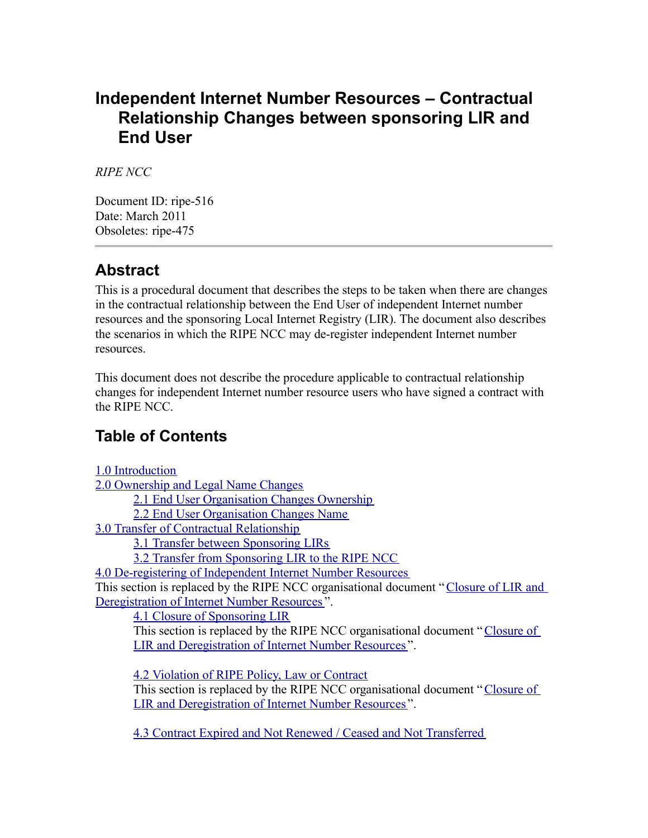### **Independent Internet Number Resources – Contractual Relationship Changes between sponsoring LIR and End User**

*RIPE NCC*

Document ID: ripe-516 Date: March 2011 Obsoletes: ripe-475

### **Abstract**

This is a procedural document that describes the steps to be taken when there are changes in the contractual relationship between the End User of independent Internet number resources and the sponsoring Local Internet Registry (LIR). The document also describes the scenarios in which the RIPE NCC may de-register independent Internet number resources.

This document does not describe the procedure applicable to contractual relationship changes for independent Internet number resource users who have signed a contract with the RIPE NCC.

### **Table of Contents**

1.0 [Introduction](#page-0-10)

2.0 [Ownership](#page-0-9) and Legal Name Changes

<span id="page-0-10"></span><span id="page-0-9"></span><span id="page-0-8"></span>2.1 End User [Organisation](#page-0-8) Changes Ownership

<span id="page-0-7"></span>2.2 End User [Organisation](#page-0-7) Changes Name

3.0 Transfer of Contractual [Relationship](#page-0-6)

<span id="page-0-6"></span><span id="page-0-5"></span><span id="page-0-4"></span><span id="page-0-3"></span>3.1 Transfer between [Sponsoring](#page-0-5) LIRs

3.2 Transfer from [Sponsoring](#page-0-4) LIR to the RIPE NCC

4.0 [De-registering](#page-0-3) of Independent Internet Number Resources

This section is replaced by the RIPE NCC organisational document "[Closure](https://www.ripe.net/ripe/docs/closure) of LIR and [Deregistration](https://www.ripe.net/ripe/docs/closure) of Internet Number Resources ".

<span id="page-0-2"></span>4.1 Closure of [Sponsoring](#page-0-2) LIR

This section is replaced by the RIPE NCC organisational document "[Closure](https://www.ripe.net/ripe/docs/closure) of LIR and [Deregistration](https://www.ripe.net/ripe/docs/closure) of Internet Number Resources ".

<span id="page-0-0"></span>4.2 [Violation](#page-0-0) of RIPE Policy, Law or Contract

This section is replaced by the RIPE NCC organisational document "[Closure](https://www.ripe.net/ripe/docs/closure) of LIR and [Deregistration](https://www.ripe.net/ripe/docs/closure) of Internet Number Resources ".

<span id="page-0-1"></span>4.3 Contract Expired and Not Renewed / Ceased and Not [Transferred](#page-0-1)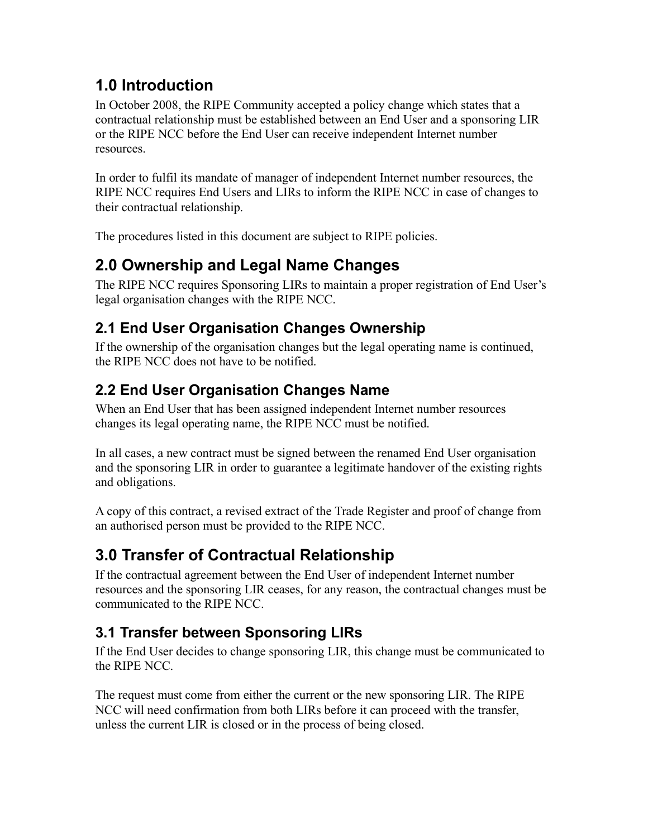## **1.0 Introduction**

In October 2008, the RIPE Community accepted a policy change which states that a contractual relationship must be established between an End User and a sponsoring LIR or the RIPE NCC before the End User can receive independent Internet number resources.

In order to fulfil its mandate of manager of independent Internet number resources, the RIPE NCC requires End Users and LIRs to inform the RIPE NCC in case of changes to their contractual relationship.

The procedures listed in this document are subject to RIPE policies.

# **2.0 Ownership and Legal Name Changes**

The RIPE NCC requires Sponsoring LIRs to maintain a proper registration of End User's legal organisation changes with the RIPE NCC.

## **2.1 End User Organisation Changes Ownership**

If the ownership of the organisation changes but the legal operating name is continued, the RIPE NCC does not have to be notified.

## **2.2 End User Organisation Changes Name**

When an End User that has been assigned independent Internet number resources changes its legal operating name, the RIPE NCC must be notified.

In all cases, a new contract must be signed between the renamed End User organisation and the sponsoring LIR in order to guarantee a legitimate handover of the existing rights and obligations.

A copy of this contract, a revised extract of the Trade Register and proof of change from an authorised person must be provided to the RIPE NCC.

# **3.0 Transfer of Contractual Relationship**

If the contractual agreement between the End User of independent Internet number resources and the sponsoring LIR ceases, for any reason, the contractual changes must be communicated to the RIPE NCC.

## **3.1 Transfer between Sponsoring LIRs**

If the End User decides to change sponsoring LIR, this change must be communicated to the RIPE NCC.

The request must come from either the current or the new sponsoring LIR. The RIPE NCC will need confirmation from both LIRs before it can proceed with the transfer, unless the current LIR is closed or in the process of being closed.